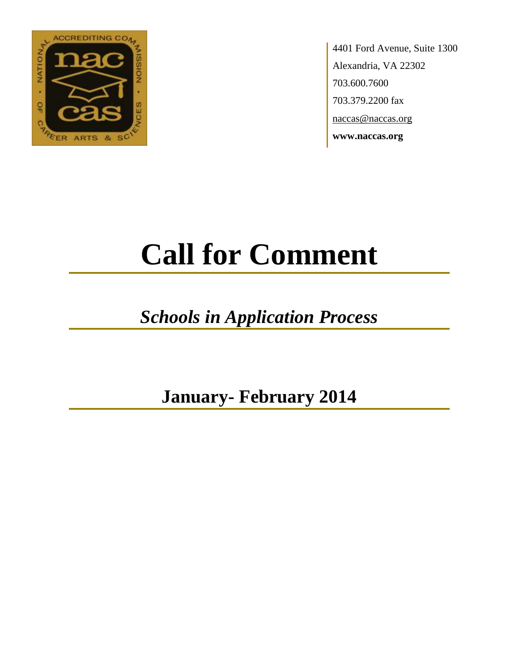

4401 Ford Avenue, Suite 1300 Alexandria, VA 22302 703.600.7600 703.379.2200 fax naccas@naccas.org **www.naccas.org**

# **Call for Comment**

## *Schools in Application Process*

**January- February 2014**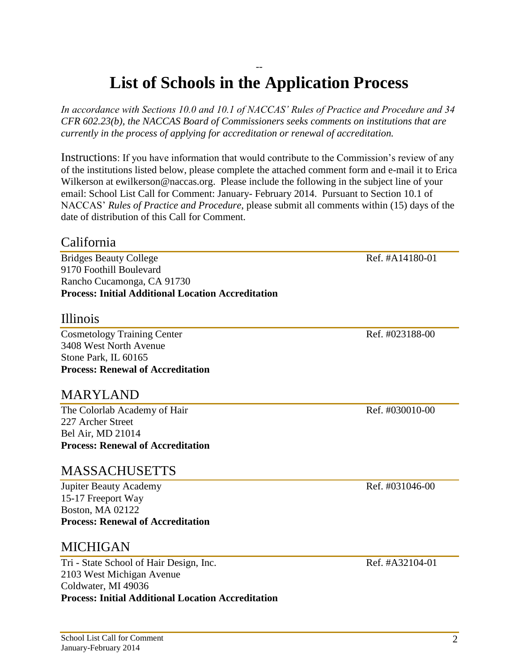#### -- **List of Schools in the Application Process**

*In accordance with Sections 10.0 and 10.1 of NACCAS' Rules of Practice and Procedure and 34 CFR 602.23(b), the NACCAS Board of Commissioners seeks comments on institutions that are currently in the process of applying for accreditation or renewal of accreditation.*

Instructions: If you have information that would contribute to the Commission's review of any of the institutions listed below, please complete the attached comment form and e-mail it to Erica Wilkerson at ewilkerson@naccas.org. Please include the following in the subject line of your email: School List Call for Comment: January- February 2014. Pursuant to Section 10.1 of NACCAS' *Rules of Practice and Procedure*, please submit all comments within (15) days of the date of distribution of this Call for Comment.

#### California

Bridges Beauty College Ref. #A14180-01 9170 Foothill Boulevard Rancho Cucamonga, CA 91730 **Process: Initial Additional Location Accreditation**

#### Illinois

Cosmetology Training Center Ref. #023188-00 3408 West North Avenue Stone Park, IL 60165 **Process: Renewal of Accreditation**

#### MARYLAND

The Colorlab Academy of Hair Ref. #030010-00 227 Archer Street Bel Air, MD 21014 **Process: Renewal of Accreditation**

#### MASSACHUSETTS

Jupiter Beauty Academy **Ref.** #031046-00 15-17 Freeport Way Boston, MA 02122 **Process: Renewal of Accreditation**

#### MICHIGAN

Tri - State School of Hair Design, Inc. Ref. #A32104-01 2103 West Michigan Avenue Coldwater, MI 49036 **Process: Initial Additional Location Accreditation**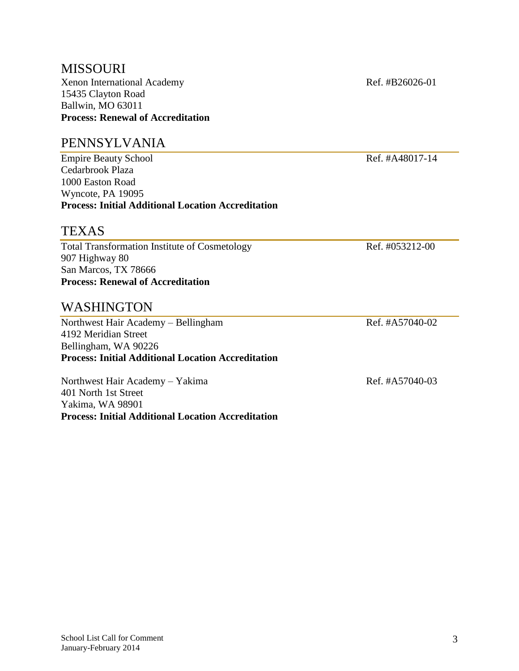#### MISSOURI Xenon International Academy Ref. #B26026-01 15435 Clayton Road Ballwin, MO 63011 **Process: Renewal of Accreditation**

#### PENNSYLVANIA

Empire Beauty School Ref. #A48017-14 Cedarbrook Plaza 1000 Easton Road Wyncote, PA 19095 **Process: Initial Additional Location Accreditation**

#### **TEXAS**

Total Transformation Institute of Cosmetology Ref. #053212-00 907 Highway 80 San Marcos, TX 78666 **Process: Renewal of Accreditation**

#### WASHINGTON

Northwest Hair Academy – Bellingham Ref. #A57040-02 4192 Meridian Street Bellingham, WA 90226 **Process: Initial Additional Location Accreditation**

Northwest Hair Academy – Yakima Ref. #A57040-03 401 North 1st Street Yakima, WA 98901 **Process: Initial Additional Location Accreditation**

3